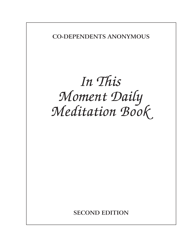**CO-DEPENDENTS ANONYMOUS**

## *In This Moment Daily Meditation Book*

**SECOND EDITION**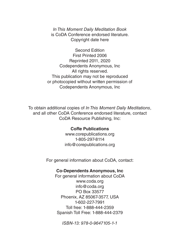*In This Moment Daily Meditation Book* is CoDA Conference endorsed literature. Copyright date here

Second Edition First Printed 2006 Reprinted 2011, 2020 Codependents Anonymous, Inc All rights reserved. This publication may not be reproduced or photocopied without written permission of Codependents Anonymous, Inc

To obtain additional copies of *In This Moment Daily Meditations*, and all other CoDA Conference endorsed literature, contact CoDA Resource Publishing, Inc:

### **CoRe Publications**

www.corepublications.org 1-805-297-8114 info@corepublications.org

For general information about CoDA, contact:

#### **Co-Dependents Anonymous, Inc**

For general information about CoDA www.coda.org info@coda.org PO Box 33577 Phoenix, AZ 85067-3577, USA 1-602-227-7991 Toll free: 1-888-444-2359 Spanish Toll Free: 1-888-444-2379

*ISBN-13: 978-0-9647105-1-1*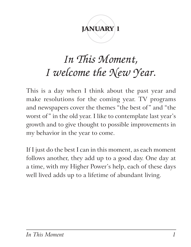## JANUARY<sup>1</sup>

### *In This Moment, I welcome the New Year.*

This is a day when I think about the past year and make resolutions for the coming year. TV programs and newspapers cover the themes "the best of" and "the worst of" in the old year. I like to contemplate last year's growth and to give thought to possible improvements in my behavior in the year to come.

If I just do the best I can in this moment, as each moment follows another, they add up to a good day. One day at a time, with my Higher Power's help, each of these days well lived adds up to a lifetime of abundant living.